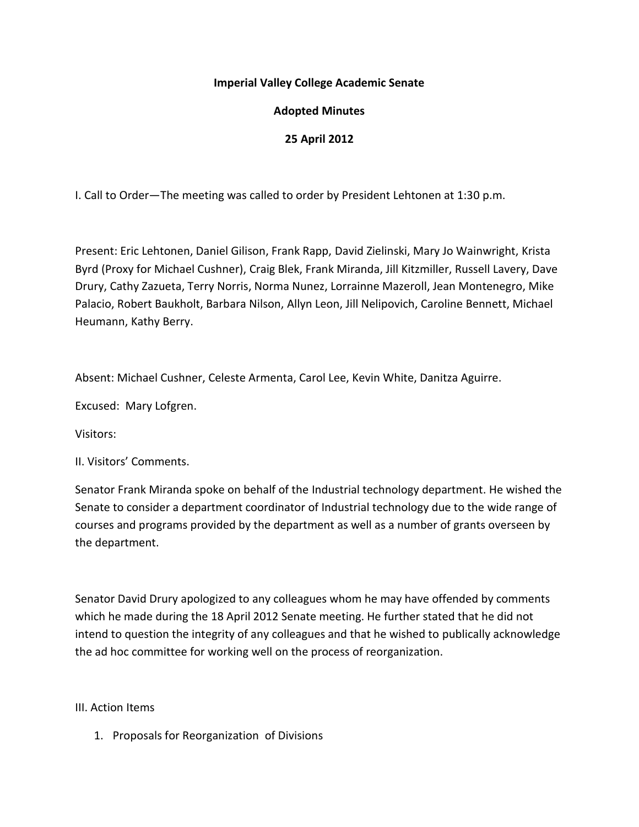## **Imperial Valley College Academic Senate**

## **Adopted Minutes**

## **25 April 2012**

I. Call to Order—The meeting was called to order by President Lehtonen at 1:30 p.m.

Present: Eric Lehtonen, Daniel Gilison, Frank Rapp, David Zielinski, Mary Jo Wainwright, Krista Byrd (Proxy for Michael Cushner), Craig Blek, Frank Miranda, Jill Kitzmiller, Russell Lavery, Dave Drury, Cathy Zazueta, Terry Norris, Norma Nunez, Lorrainne Mazeroll, Jean Montenegro, Mike Palacio, Robert Baukholt, Barbara Nilson, Allyn Leon, Jill Nelipovich, Caroline Bennett, Michael Heumann, Kathy Berry.

Absent: Michael Cushner, Celeste Armenta, Carol Lee, Kevin White, Danitza Aguirre.

Excused: Mary Lofgren.

Visitors:

II. Visitors' Comments.

Senator Frank Miranda spoke on behalf of the Industrial technology department. He wished the Senate to consider a department coordinator of Industrial technology due to the wide range of courses and programs provided by the department as well as a number of grants overseen by the department.

Senator David Drury apologized to any colleagues whom he may have offended by comments which he made during the 18 April 2012 Senate meeting. He further stated that he did not intend to question the integrity of any colleagues and that he wished to publically acknowledge the ad hoc committee for working well on the process of reorganization.

III. Action Items

1. Proposals for Reorganization of Divisions